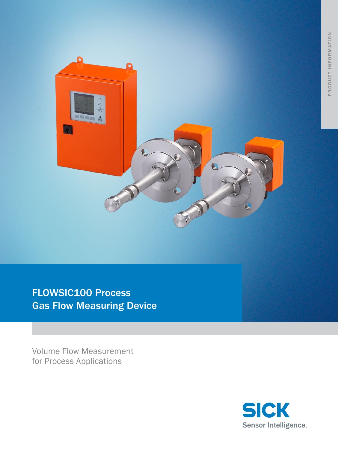

FLOWSIC100 Process Gas Flow Measuring Device

Volume Flow Measurement for Process Applications

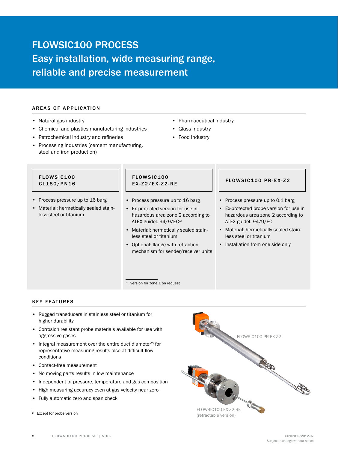# FLOWSIC100 PROCESS Easy installation, wide measuring range, reliable and precise measurement

# **AREAS OF APPLICATION**

- • Natural gas industry
- Chemical and plastics manufacturing industries
- • Petrochemical industry and refineries
- Processing industries (cement manufacturing, steel and iron production)
- • Pharmaceutical industry
- • Glass industry
- Food industry

#### FLOWSIC100 CL150/PN16

- • Process pressure up to 16 barg
- • Material: hermetically sealed stainless steel or titanium

### FLOWSIC100 EX-Z2/EX-Z2-RE **FLOWSIC100 PR-EX-Z2**

<sup>1)</sup> Version for zone 1 on request

- Process pressure up to 16 barg
- • Ex-protected version for use in hazardous area zone 2 according to ATEX guidel. 94/9/EC<sup>1)</sup>
- • Material: hermetically sealed stainless steel or titanium
- • Optional: flange with retraction mechanism for sender/receiver units

- Process pressure up to 0.1 barg
- • Ex-protected probe version for use in hazardous area zone 2 according to ATEX guidel. 94/9/EC
- • Material: hermetically sealed stainless steel or titanium
- Installation from one side only

### **KEY FEATURES**

- • Rugged transducers in stainless steel or titanium for higher durability
- • Corrosion resistant probe materials available for use with aggressive gases
- Integral measurement over the entire duct diameter<sup>2)</sup> for representative measuring results also at difficult flow conditions
- • Contact-free measurement
- No moving parts results in low maintenance
- Independent of pressure, temperature and gas composition
- High measuring accuracy even at gas velocity near zero
- • Fully automatic zero and span check



<sup>2)</sup> Except for probe version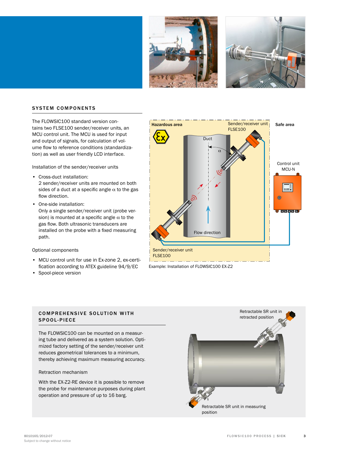



## **SYSTEM COMPONENTS**

The FLOWSIC100 standard version contains two FLSE100 sender/receiver units, an MCU control unit. The MCU is used for input and output of signals, for calculation of volume flow to reference conditions (standardization) as well as user friendly LCD interface.

Installation of the sender/receiver units

- • Cross-duct installation: 2 sender/receiver units are mounted on both sides of a duct at a specific angle  $\alpha$  to the gas flow direction.
- One-side installation: Only a single sender/receiver unit (probe version) is mounted at a specific angle  $\alpha$  to the gas flow. Both ultrasonic transducers are installed on the probe with a fixed measuring path.

#### Optional components

- • MCU control unit for use in Ex-zone 2, ex-certification according to ATEX guideline 94/9/EC
- • Spool-piece version



Example: Installation of FLOWSIC100 EX-Z2

#### **COMPREHENSIVE SOLUTION WITH** SPOOL-PIECE

The FLOWSIC100 can be mounted on a measuring tube and delivered as a system solution. Optimized factory setting of the sender/receiver unit reduces geometrical tolerances to a minimum, thereby achieving maximum measuring accuracy.

#### Retraction mechanism

With the EX-Z2-RE device it is possible to remove the probe for maintenance purposes during plant operation and pressure of up to 16 barg.